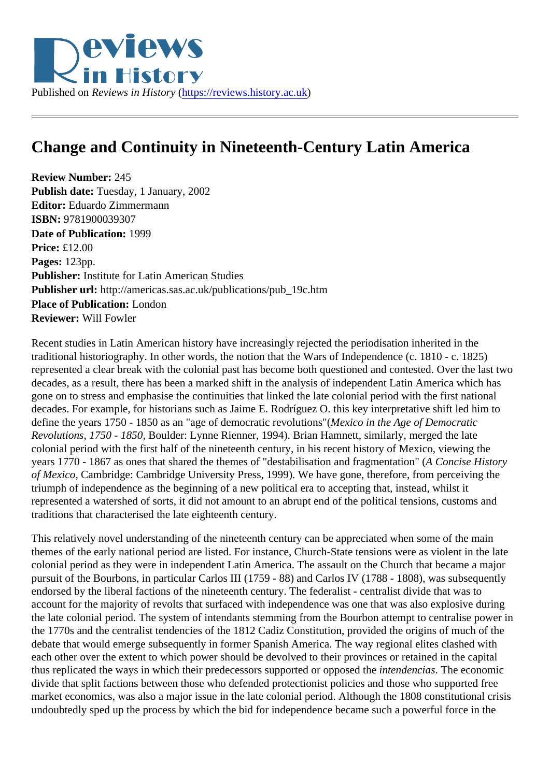## Change and Continuity in Nineteenth-Century Latin America

Review Number: 245 Publish date: Tuesday, 1 January, 2002 Editor: Eduardo Zimmermann ISBN: 9781900039307 Date of Publication: 1999 Price: £12.00 Pages: 123pp. Publisher: Institute for Latin American Studies Publisher url: http://americas.sas.ac.uk/publications/pub\_19c.htm Place of Publication: London Reviewer: Will Fowler

Recent studies in Latin American history have increasingly rejected the periodisation inherited in the traditional historiography. In other words, the notion that the Wars of Independence (c. 1810 - c. 1825) represented a clear break with the colonial past has become both questioned and contested. Over the last decades, as a result, there has been a marked shift in the analysis of independent Latin America which has gone on to stress and emphasise the continuities that linked the late colonial period with the first national decades. For example, for historians such as Jaime E. Rodríguez O. this key interpretative shift led him to define the years 1750 - 1850 as an "age of democratic revolutions" (o in the Age of Democratic Revolutions1750 - 1850Boulder: Lynne Rienner, 1994). Brian Hamnett, similarly, merged the late colonial period with the first half of the nineteenth century, in his recent history of Mexico, viewing the years 1770 - 1867 as ones that shared the themes of "destabilisation and fragmentation at thistory of Mexico, Cambridge: Cambridge University Press, 1999). We have gone, therefore, from perceiving the triumph of independence as the beginning of a new political era to accepting that, instead, whilst it represented a watershed of sorts, it did not amount to an abrupt end of the political tensions, customs and traditions that characterised the late eighteenth century.

This relatively novel understanding of the nineteenth century can be appreciated when some of the main themes of the early national period are listed. For instance, Church-State tensions were as violent in the la colonial period as they were in independent Latin America. The assault on the Church that became a major pursuit of the Bourbons, in particular Carlos III (1759 - 88) and Carlos IV (1788 - 1808), was subsequently endorsed by the liberal factions of the nineteenth century. The federalist - centralist divide that was to account for the majority of revolts that surfaced with independence was one that was also explosive during the late colonial period. The system of intendants stemming from the Bourbon attempt to centralise power the 1770s and the centralist tendencies of the 1812 Cadiz Constitution, provided the origins of much of the debate that would emerge subsequently in former Spanish America. The way regional elites clashed with each other over the extent to which power should be devolved to their provinces or retained in the capital thus replicated the ways in which their predecessors supported or opposet the ncias. The economic divide that split factions between those who defended protectionist policies and those who supported free market economics, was also a major issue in the late colonial period. Although the 1808 constitutional crisis undoubtedly sped up the process by which the bid for independence became such a powerful force in the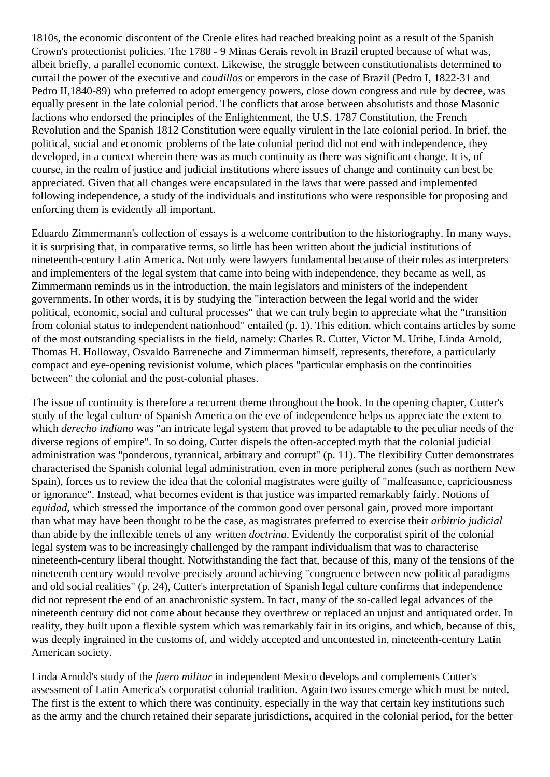1810s, the economic discontent of the Creole elites had reached breaking point as a result of the Spanish Crown's protectionist policies. The 1788 - 9 Minas Gerais revolt in Brazil erupted because of what was, albeit briefly, a parallel economic context. Likewise, the struggle between constitutionalists determined to curtail the power of the executive and *caudillos* or emperors in the case of Brazil (Pedro I, 1822-31 and Pedro II,1840-89) who preferred to adopt emergency powers, close down congress and rule by decree, was equally present in the late colonial period. The conflicts that arose between absolutists and those Masonic factions who endorsed the principles of the Enlightenment, the U.S. 1787 Constitution, the French Revolution and the Spanish 1812 Constitution were equally virulent in the late colonial period. In brief, the political, social and economic problems of the late colonial period did not end with independence, they developed, in a context wherein there was as much continuity as there was significant change. It is, of course, in the realm of justice and judicial institutions where issues of change and continuity can best be appreciated. Given that all changes were encapsulated in the laws that were passed and implemented following independence, a study of the individuals and institutions who were responsible for proposing and enforcing them is evidently all important.

Eduardo Zimmermann's collection of essays is a welcome contribution to the historiography. In many ways, it is surprising that, in comparative terms, so little has been written about the judicial institutions of nineteenth-century Latin America. Not only were lawyers fundamental because of their roles as interpreters and implementers of the legal system that came into being with independence, they became as well, as Zimmermann reminds us in the introduction, the main legislators and ministers of the independent governments. In other words, it is by studying the "interaction between the legal world and the wider political, economic, social and cultural processes" that we can truly begin to appreciate what the "transition from colonial status to independent nationhood" entailed (p. 1). This edition, which contains articles by some of the most outstanding specialists in the field, namely: Charles R. Cutter, Víctor M. Uribe, Linda Arnold, Thomas H. Holloway, Osvaldo Barreneche and Zimmerman himself, represents, therefore, a particularly compact and eye-opening revisionist volume, which places "particular emphasis on the continuities between" the colonial and the post-colonial phases.

The issue of continuity is therefore a recurrent theme throughout the book. In the opening chapter, Cutter's study of the legal culture of Spanish America on the eve of independence helps us appreciate the extent to which *derecho indiano* was "an intricate legal system that proved to be adaptable to the peculiar needs of the diverse regions of empire". In so doing, Cutter dispels the often-accepted myth that the colonial judicial administration was "ponderous, tyrannical, arbitrary and corrupt" (p. 11). The flexibility Cutter demonstrates characterised the Spanish colonial legal administration, even in more peripheral zones (such as northern New Spain), forces us to review the idea that the colonial magistrates were guilty of "malfeasance, capriciousness or ignorance". Instead, what becomes evident is that justice was imparted remarkably fairly. Notions of *equidad*, which stressed the importance of the common good over personal gain, proved more important than what may have been thought to be the case, as magistrates preferred to exercise their *arbitrio judicial* than abide by the inflexible tenets of any written *doctrina*. Evidently the corporatist spirit of the colonial legal system was to be increasingly challenged by the rampant individualism that was to characterise nineteenth-century liberal thought. Notwithstanding the fact that, because of this, many of the tensions of the nineteenth century would revolve precisely around achieving "congruence between new political paradigms and old social realities" (p. 24), Cutter's interpretation of Spanish legal culture confirms that independence did not represent the end of an anachronistic system. In fact, many of the so-called legal advances of the nineteenth century did not come about because they overthrew or replaced an unjust and antiquated order. In reality, they built upon a flexible system which was remarkably fair in its origins, and which, because of this, was deeply ingrained in the customs of, and widely accepted and uncontested in, nineteenth-century Latin American society.

Linda Arnold's study of the *fuero militar* in independent Mexico develops and complements Cutter's assessment of Latin America's corporatist colonial tradition. Again two issues emerge which must be noted. The first is the extent to which there was continuity, especially in the way that certain key institutions such as the army and the church retained their separate jurisdictions, acquired in the colonial period, for the better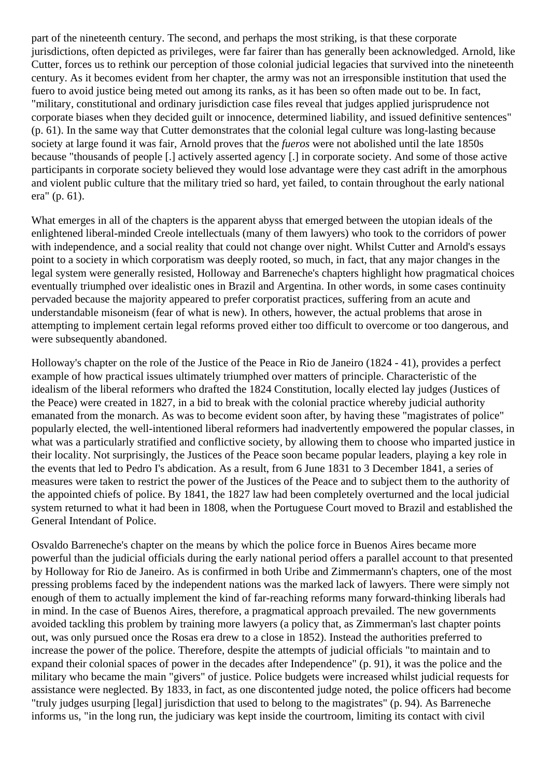part of the nineteenth century. The second, and perhaps the most striking, is that these corporate jurisdictions, often depicted as privileges, were far fairer than has generally been acknowledged. Arnold, like Cutter, forces us to rethink our perception of those colonial judicial legacies that survived into the nineteenth century. As it becomes evident from her chapter, the army was not an irresponsible institution that used the fuero to avoid justice being meted out among its ranks, as it has been so often made out to be. In fact, "military, constitutional and ordinary jurisdiction case files reveal that judges applied jurisprudence not corporate biases when they decided guilt or innocence, determined liability, and issued definitive sentences" (p. 61). In the same way that Cutter demonstrates that the colonial legal culture was long-lasting because society at large found it was fair, Arnold proves that the *fueros* were not abolished until the late 1850s because "thousands of people [.] actively asserted agency [.] in corporate society. And some of those active participants in corporate society believed they would lose advantage were they cast adrift in the amorphous and violent public culture that the military tried so hard, yet failed, to contain throughout the early national era" (p. 61).

What emerges in all of the chapters is the apparent abyss that emerged between the utopian ideals of the enlightened liberal-minded Creole intellectuals (many of them lawyers) who took to the corridors of power with independence, and a social reality that could not change over night. Whilst Cutter and Arnold's essays point to a society in which corporatism was deeply rooted, so much, in fact, that any major changes in the legal system were generally resisted, Holloway and Barreneche's chapters highlight how pragmatical choices eventually triumphed over idealistic ones in Brazil and Argentina. In other words, in some cases continuity pervaded because the majority appeared to prefer corporatist practices, suffering from an acute and understandable misoneism (fear of what is new). In others, however, the actual problems that arose in attempting to implement certain legal reforms proved either too difficult to overcome or too dangerous, and were subsequently abandoned.

Holloway's chapter on the role of the Justice of the Peace in Rio de Janeiro (1824 - 41), provides a perfect example of how practical issues ultimately triumphed over matters of principle. Characteristic of the idealism of the liberal reformers who drafted the 1824 Constitution, locally elected lay judges (Justices of the Peace) were created in 1827, in a bid to break with the colonial practice whereby judicial authority emanated from the monarch. As was to become evident soon after, by having these "magistrates of police" popularly elected, the well-intentioned liberal reformers had inadvertently empowered the popular classes, in what was a particularly stratified and conflictive society, by allowing them to choose who imparted justice in their locality. Not surprisingly, the Justices of the Peace soon became popular leaders, playing a key role in the events that led to Pedro I's abdication. As a result, from 6 June 1831 to 3 December 1841, a series of measures were taken to restrict the power of the Justices of the Peace and to subject them to the authority of the appointed chiefs of police. By 1841, the 1827 law had been completely overturned and the local judicial system returned to what it had been in 1808, when the Portuguese Court moved to Brazil and established the General Intendant of Police.

Osvaldo Barreneche's chapter on the means by which the police force in Buenos Aires became more powerful than the judicial officials during the early national period offers a parallel account to that presented by Holloway for Rio de Janeiro. As is confirmed in both Uribe and Zimmermann's chapters, one of the most pressing problems faced by the independent nations was the marked lack of lawyers. There were simply not enough of them to actually implement the kind of far-reaching reforms many forward-thinking liberals had in mind. In the case of Buenos Aires, therefore, a pragmatical approach prevailed. The new governments avoided tackling this problem by training more lawyers (a policy that, as Zimmerman's last chapter points out, was only pursued once the Rosas era drew to a close in 1852). Instead the authorities preferred to increase the power of the police. Therefore, despite the attempts of judicial officials "to maintain and to expand their colonial spaces of power in the decades after Independence" (p. 91), it was the police and the military who became the main "givers" of justice. Police budgets were increased whilst judicial requests for assistance were neglected. By 1833, in fact, as one discontented judge noted, the police officers had become "truly judges usurping [legal] jurisdiction that used to belong to the magistrates" (p. 94). As Barreneche informs us, "in the long run, the judiciary was kept inside the courtroom, limiting its contact with civil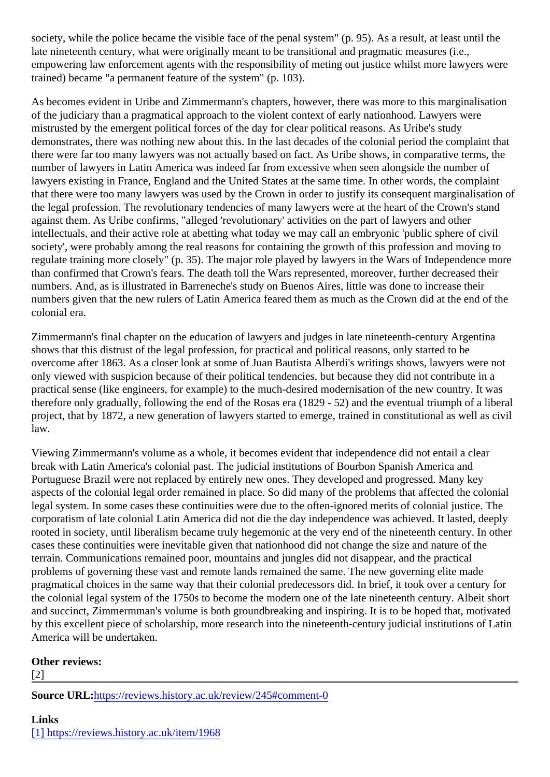society, while the police became the visible face of the penal system" (p. 95). As a result, at least until the late nineteenth century, what were originally meant to be transitional and pragmatic measures (i.e., empowering law enforcement agents with the responsibility of meting out justice whilst more lawyers were trained) became "a permanent feature of the system" (p. 103).

As becomes evident in Uribe and Zimmermann's chapters, however, there was more to this marginalisatic of the judiciary than a pragmatical approach to the violent context of early nationhood. Lawyers were mistrusted by the emergent political forces of the day for clear political reasons. As Uribe's study demonstrates, there was nothing new about this. In the last decades of the colonial period the complaint that there were far too many lawyers was not actually based on fact. As Uribe shows, in comparative terms, the number of lawyers in Latin America was indeed far from excessive when seen alongside the number of lawyers existing in France, England and the United States at the same time. In other words, the complaint that there were too many lawyers was used by the Crown in order to justify its consequent marginalisation the legal profession. The revolutionary tendencies of many lawyers were at the heart of the Crown's stand against them. As Uribe confirms, "alleged 'revolutionary' activities on the part of lawyers and other intellectuals, and their active role at abetting what today we may call an embryonic 'public sphere of civil society', were probably among the real reasons for containing the growth of this profession and moving to regulate training more closely" (p. 35). The major role played by lawyers in the Wars of Independence more than confirmed that Crown's fears. The death toll the Wars represented, moreover, further decreased their numbers. And, as is illustrated in Barreneche's study on Buenos Aires, little was done to increase their numbers given that the new rulers of Latin America feared them as much as the Crown did at the end of the colonial era.

Zimmermann's final chapter on the education of lawyers and judges in late nineteenth-century Argentina shows that this distrust of the legal profession, for practical and political reasons, only started to be overcome after 1863. As a closer look at some of Juan Bautista Alberdi's writings shows, lawyers were no only viewed with suspicion because of their political tendencies, but because they did not contribute in a practical sense (like engineers, for example) to the much-desired modernisation of the new country. It was therefore only gradually, following the end of the Rosas era (1829 - 52) and the eventual triumph of a liber project, that by 1872, a new generation of lawyers started to emerge, trained in constitutional as well as ci law.

Viewing Zimmermann's volume as a whole, it becomes evident that independence did not entail a clear break with Latin America's colonial past. The judicial institutions of Bourbon Spanish America and Portuguese Brazil were not replaced by entirely new ones. They developed and progressed. Many key aspects of the colonial legal order remained in place. So did many of the problems that affected the colonial legal system. In some cases these continuities were due to the often-ignored merits of colonial justice. The corporatism of late colonial Latin America did not die the day independence was achieved. It lasted, deepl rooted in society, until liberalism became truly hegemonic at the very end of the nineteenth century. In other cases these continuities were inevitable given that nationhood did not change the size and nature of the terrain. Communications remained poor, mountains and jungles did not disappear, and the practical problems of governing these vast and remote lands remained the same. The new governing elite made pragmatical choices in the same way that their colonial predecessors did. In brief, it took over a century for the colonial legal system of the 1750s to become the modern one of the late nineteenth century. Albeit short and succinct. Zimmermman's volume is both groundbreaking and inspiring. It is to be hoped that, motivate by this excellent piece of scholarship, more research into the nineteenth-century judicial institutions of Lati America will be undertaken.

Other reviews:

[2]

Source URL[:https://reviews.history.ac.uk/review/245#comme](https://reviews.history.ac.uk/review/245#comment-0)nt-0